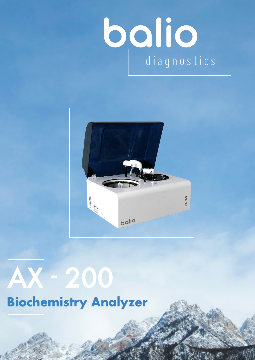# **bolio**



# AX - 200 **Biochemistry Analyzer**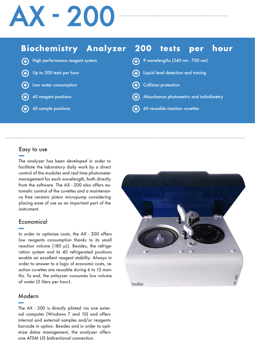# AX - 200

#### **Biochemistry Analyzer 200** tests hour per

| (+) High performance reagent system | 4 9 wavelengths (340 nm - 700 nm)       |
|-------------------------------------|-----------------------------------------|
| (+) Up to 200 tests per hour        | (+) Liquid level detection and tracing  |
| (+) Low water consumption           | (+) Collision protection                |
| 40 reagent positions                | Absorbance photometric and turbidimetry |
| 40 sample positions                 | (+) 60 reusable reaction cuvettes       |
|                                     |                                         |

#### Easy to use

The analyzer has been developed in order to facilitate the laboratory daily work by a direct control of the modules and real time photometer management for each wavelength, both directly from the software. The AX - 200 also offers automatic control of the cuvettes and a maintenance free ceramic piston micropump considering placing ease of use as an important part of the instrument.

#### Economical

In order to optimize costs, the AX - 200 offers low reagents consumption thanks to its small reaction volume (180 µL). Besides, the refrigeration system and its 40 refrigerated positions enable an excellent reagent stability. Always in order to answer to a logic of economic costs, reaction cuvettes are reusable during 6 to 12 months. To end, the anlayzer consumes low volume of water (5 liters per hour).

#### Modern

The AX - 200 is directly piloted via one external computer (Windows 7 and 10) and offers internal and external samples and/or reagents barcode in option. Besides and in order to optimize datas management, the analyzer offers one ATSM LIS bidirectional connection.

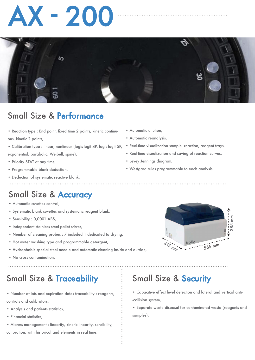# $\left( -2\right)$



### Small Size & Performance

- Reaction type : End point, fxed time 2 points, kinetic continuous, kinetic 2 points,
- Calibration type : linear, nonlinear (logis-logit 4P, logis-logit 5P, exponential, parabolic, Weibull, spine),
- Priority STAT at any time,
- Programmable blank deduction,
- Deduction of systematic reactive blank,
	-

### Small Size & Accuracy

- Automatic cuvettes control,
- Systematic blank cuvettes and systematic reagent blank,
- Sensibility : 0,0001 ABS,
- Independent stainless steel pallet stirrer,
- Number of cleaning probes : 7 included 1 dedicated to drying,
- Hot water washing type and programmable detergent,
- Hydrophobic special steel needle and automatic cleaning inside and outside,
- No cross contamination.

. . . . . . . . . . . . . . . . . . . .

### Small Size & Traceability

• Number of lots and expiration dates traceability : reagents, controls and calibrators,

- Analysis and patients statistics,
- Financial statistics,
- Alarms management : linearity, kinetic linearity, sensibility, calibration, with historical and elements in real time.
- Automatic dilution,
- Automatic reanalysis,
- Real-time visualization sample, reaction, reagent trays,
- Real-time visualization and saving of reaction curves,
- Levey Jennings diagram,
- Westgard rules programmable to each analysis.



### Small Size & Security

• Capacitive effect level detection and lateral and vertical anti- -collision system,

• Separate waste disposal for contaminated waste (reagents and samples).